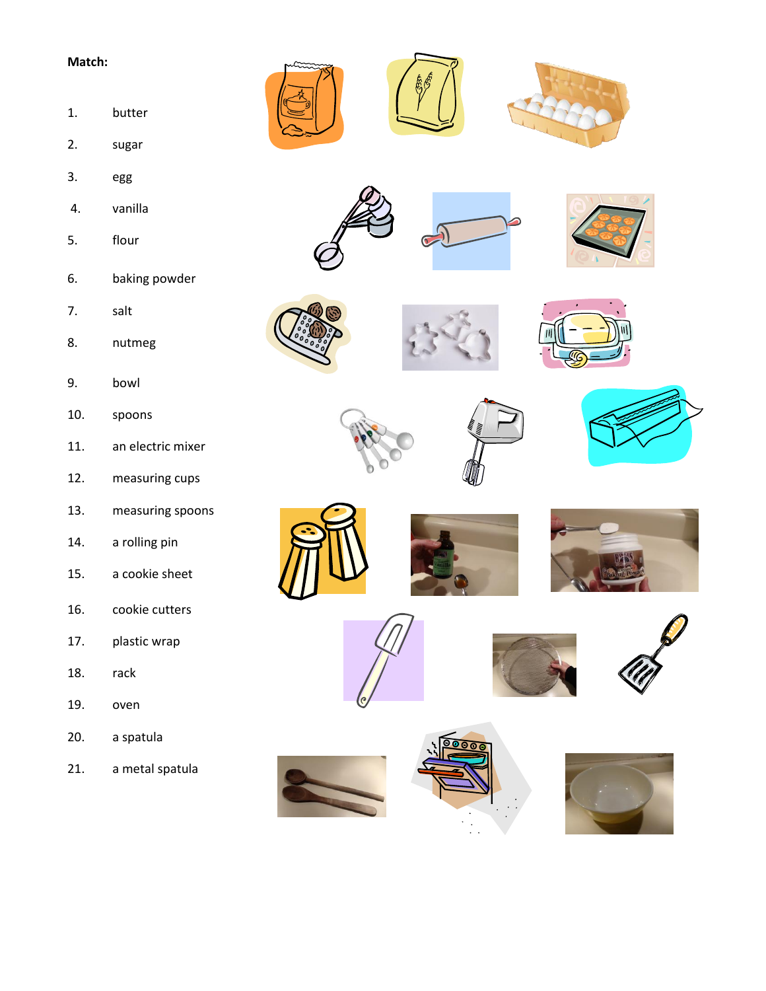- 1. butter
- 2. sugar
- 3. egg
- 4. vanilla
- 5. flour
- 6. baking powder
- 7. salt
- 8. nutmeg
- 9. bowl
- 10. spoons
- 11. an electric mixer
- 12. measuring cups
- 13. measuring spoons
- 14. a rolling pin
- 15. a cookie sheet
- 16. cookie cutters
- 17. plastic wrap
- 18. rack
- 19. oven
- 20. a spatula
- 21. a metal spatula































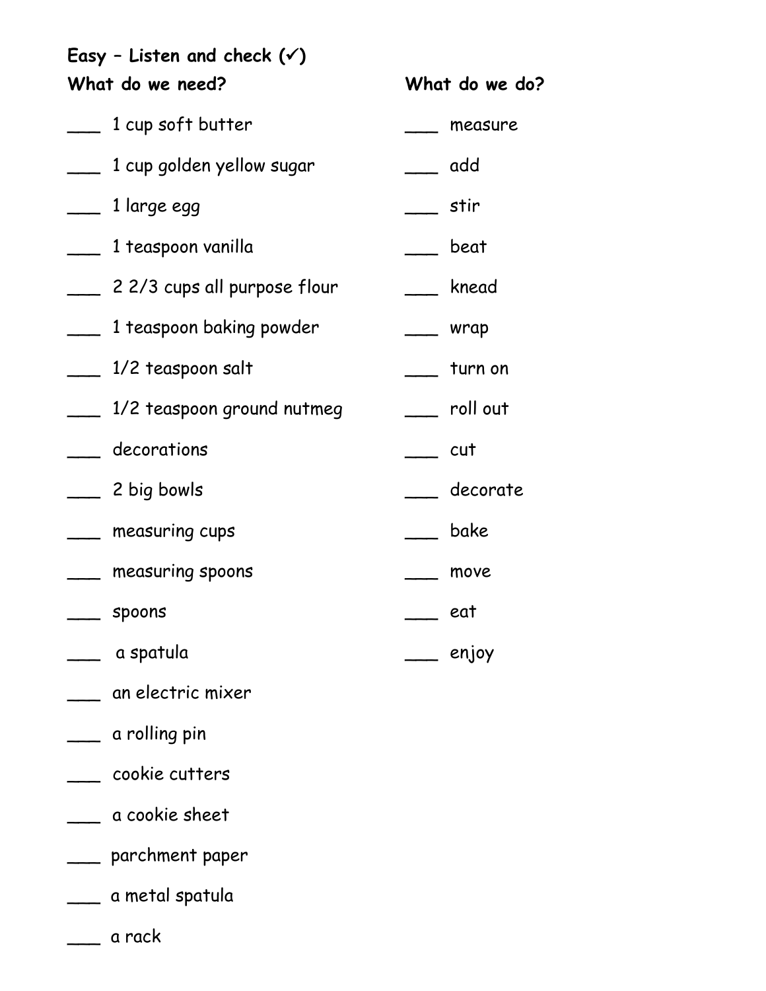**Easy – Listen and check () What do we need?** \_\_\_ 1 cup soft butter \_\_\_ 1 cup golden yellow sugar  $\frac{1}{2}$  1 large egg \_\_\_ 1 teaspoon vanilla \_\_\_ 2 2/3 cups all purpose flour \_\_\_ 1 teaspoon baking powder \_\_\_ 1/2 teaspoon salt \_\_\_ 1/2 teaspoon ground nutmeg \_\_\_ decorations \_\_\_ 2 big bowls \_\_\_ measuring cups \_\_\_ measuring spoons  $\equiv$  spoons \_\_\_ a spatula **What do we do?** measure \_\_\_ add \_\_\_ stir \_\_\_ beat \_\_\_ knead \_\_\_ wrap  $\frac{1}{\sqrt{2}}$  turn on \_\_\_ roll out  $\rule{1em}{0.15mm}$  cut decorate \_\_\_ bake \_\_\_ move  $\rule{1em}{0.15mm}$  eat  $\rightharpoonup$  enjoy

- \_\_\_ an electric mixer
- \_\_\_ a rolling pin
- \_\_\_ cookie cutters
- \_\_\_ a cookie sheet
- \_\_\_ parchment paper
- \_\_\_ a metal spatula
- \_\_\_ a rack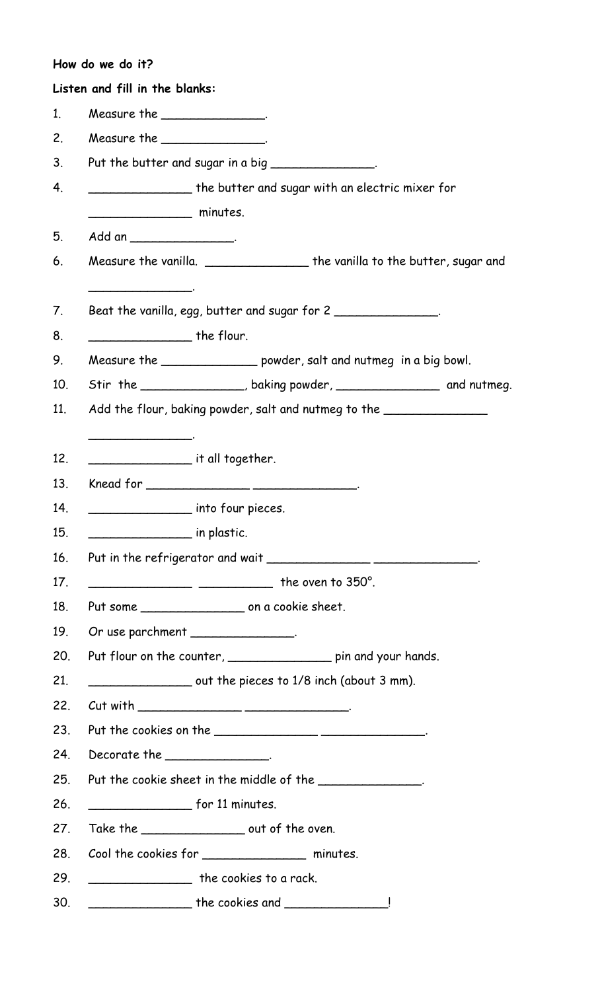|                | How do we do it?                               |                                                                                  |  |
|----------------|------------------------------------------------|----------------------------------------------------------------------------------|--|
|                | Listen and fill in the blanks:                 |                                                                                  |  |
| 1.             | Measure the $\_\_\_\_\_\_\_\_\_\_\_\_\_\_\_$ . |                                                                                  |  |
| 2.             | Measure the _______________.                   |                                                                                  |  |
| 3 <sub>1</sub> |                                                | Put the butter and sugar in a big ______________.                                |  |
| 4.             |                                                | ____________________ the butter and sugar with an electric mixer for             |  |
|                | minutes.                                       |                                                                                  |  |
| 5.             |                                                |                                                                                  |  |
| 6.             |                                                | Measure the vanilla. ____________________the vanilla to the butter, sugar and    |  |
| 7.             |                                                | Beat the vanilla, egg, butter and sugar for 2                                    |  |
| 8.             | ______________________ the flour.              |                                                                                  |  |
| 9.             |                                                | Measure the _____________ powder, salt and nutmeg in a big bowl.                 |  |
| 10.            |                                                | Stir the ______________, baking powder, _______________ and nutmeg.              |  |
| 11.            |                                                | Add the flour, baking powder, salt and nutmeg to the ___________________________ |  |
|                |                                                |                                                                                  |  |
| 12.            | it all together.                               |                                                                                  |  |
| 13.            |                                                |                                                                                  |  |
| 14.            | _____________________ into four pieces.        |                                                                                  |  |
| 15.            | in plastic.                                    |                                                                                  |  |
| 16.            |                                                | Put in the refrigerator and wait _________________________________.              |  |
| 17.            |                                                | $\frac{1}{2}$ the oven to 350°.                                                  |  |
| 18.            |                                                |                                                                                  |  |
| 19.            | Or use parchment _______________.              |                                                                                  |  |
| 20.            |                                                | Put flour on the counter, ____________________ pin and your hands.               |  |
| 21.            |                                                | out the pieces to 1/8 inch (about 3 mm).                                         |  |
| 22.            |                                                |                                                                                  |  |
| 23.            |                                                |                                                                                  |  |
| 24.            | $Decorate the _______.$                        |                                                                                  |  |
| 25.            |                                                | Put the cookie sheet in the middle of the ______________.                        |  |
| 26.            | $f$ or 11 minutes.                             |                                                                                  |  |
| 27.            |                                                | Take the ____________________ out of the oven.                                   |  |
| 28.            |                                                | Cool the cookies for ____________________ minutes.                               |  |
| 29.            |                                                | the cookies to a rack.                                                           |  |
| 30.            |                                                | $\blacksquare$ The cookies and $\blacksquare$                                    |  |